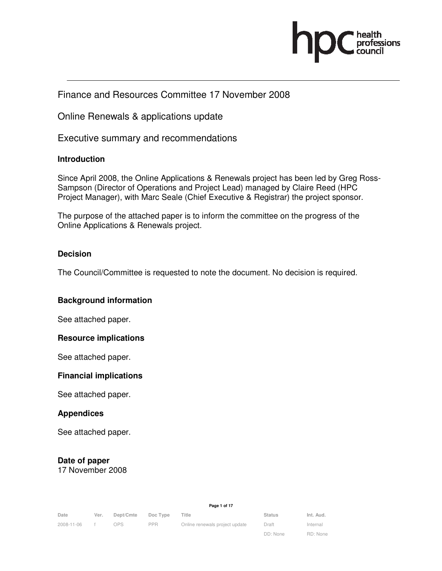

## Finance and Resources Committee 17 November 2008

Online Renewals & applications update

Executive summary and recommendations

### **Introduction**

Since April 2008, the Online Applications & Renewals project has been led by Greg Ross-Sampson (Director of Operations and Project Lead) managed by Claire Reed (HPC Project Manager), with Marc Seale (Chief Executive & Registrar) the project sponsor.

The purpose of the attached paper is to inform the committee on the progress of the Online Applications & Renewals project.

### **Decision**

The Council/Committee is requested to note the document. No decision is required.

#### **Background information**

See attached paper.

#### **Resource implications**

See attached paper.

#### **Financial implications**

See attached paper.

#### **Appendices**

See attached paper.

## **Date of paper**

17 November 2008

**Page 1 of 17** 

| Date       | Ver. | Dept/Cmte | Doc Type | Title                          | <b>Status</b> | Int. Aud. |
|------------|------|-----------|----------|--------------------------------|---------------|-----------|
| 2008-11-06 |      | OPS.      | PPR.     | Online renewals project update | Draft         | Internal  |
|            |      |           |          |                                | DD: None      | RD: None  |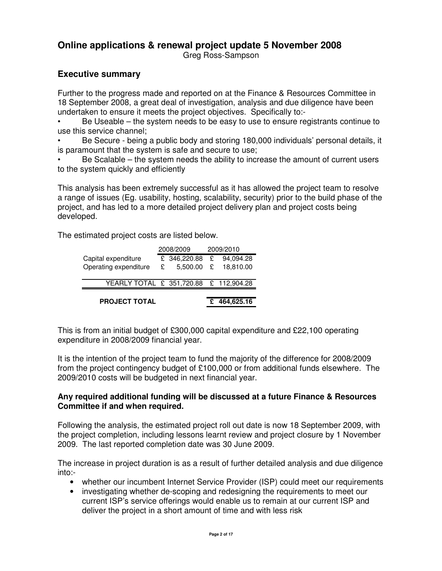# **Online applications & renewal project update 5 November 2008**

Greg Ross-Sampson

## **Executive summary**

Further to the progress made and reported on at the Finance & Resources Committee in 18 September 2008, a great deal of investigation, analysis and due diligence have been undertaken to ensure it meets the project objectives. Specifically to:-

• Be Useable – the system needs to be easy to use to ensure registrants continue to use this service channel;

• Be Secure - being a public body and storing 180,000 individuals' personal details, it is paramount that the system is safe and secure to use;

• Be Scalable – the system needs the ability to increase the amount of current users to the system quickly and efficiently

This analysis has been extremely successful as it has allowed the project team to resolve a range of issues (Eg. usability, hosting, scalability, security) prior to the build phase of the project, and has led to a more detailed project delivery plan and project costs being developed.

The estimated project costs are listed below.

| <b>PROJECT TOTAL</b>                   |   |              |           | £ 464,625.16 |  |
|----------------------------------------|---|--------------|-----------|--------------|--|
| YEARLY TOTAL £ 351,720.88 £ 112,904.28 |   |              |           |              |  |
| Operating expenditure                  | £ | $5,500.00$ £ |           | 18,810.00    |  |
| Capital expenditure                    |   | £ 346,220.88 | £         | 94,094.28    |  |
|                                        |   | 2008/2009    | 2009/2010 |              |  |

This is from an initial budget of £300,000 capital expenditure and £22,100 operating expenditure in 2008/2009 financial year.

It is the intention of the project team to fund the majority of the difference for 2008/2009 from the project contingency budget of £100,000 or from additional funds elsewhere. The 2009/2010 costs will be budgeted in next financial year.

### **Any required additional funding will be discussed at a future Finance & Resources Committee if and when required.**

Following the analysis, the estimated project roll out date is now 18 September 2009, with the project completion, including lessons learnt review and project closure by 1 November 2009. The last reported completion date was 30 June 2009.

The increase in project duration is as a result of further detailed analysis and due diligence into:-

- whether our incumbent Internet Service Provider (ISP) could meet our requirements
- investigating whether de-scoping and redesigning the requirements to meet our current ISP's service offerings would enable us to remain at our current ISP and deliver the project in a short amount of time and with less risk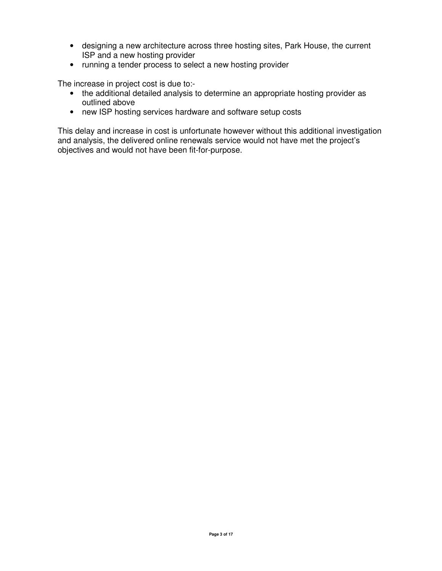- designing a new architecture across three hosting sites, Park House, the current ISP and a new hosting provider
- running a tender process to select a new hosting provider

The increase in project cost is due to:-

- the additional detailed analysis to determine an appropriate hosting provider as outlined above
- new ISP hosting services hardware and software setup costs

This delay and increase in cost is unfortunate however without this additional investigation and analysis, the delivered online renewals service would not have met the project's objectives and would not have been fit-for-purpose.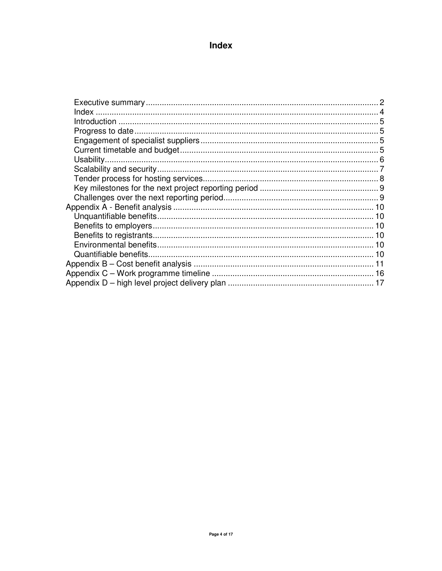## Index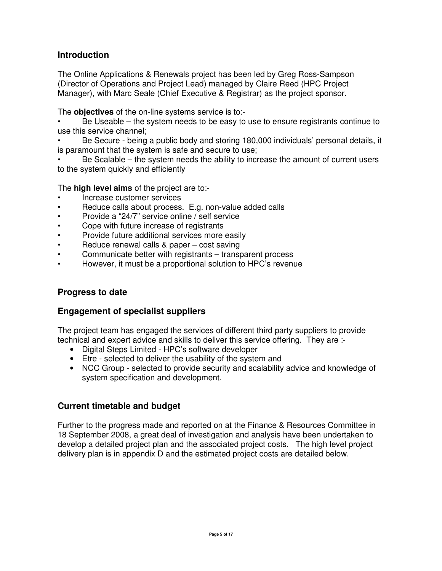## **Introduction**

The Online Applications & Renewals project has been led by Greg Ross-Sampson (Director of Operations and Project Lead) managed by Claire Reed (HPC Project Manager), with Marc Seale (Chief Executive & Registrar) as the project sponsor.

The **objectives** of the on-line systems service is to:-

• Be Useable – the system needs to be easy to use to ensure registrants continue to use this service channel;

• Be Secure - being a public body and storing 180,000 individuals' personal details, it is paramount that the system is safe and secure to use;

• Be Scalable – the system needs the ability to increase the amount of current users to the system quickly and efficiently

The **high level aims** of the project are to:-

- Increase customer services
- Reduce calls about process. E.g. non-value added calls
- Provide a "24/7" service online / self service
- Cope with future increase of registrants
- Provide future additional services more easily
- Reduce renewal calls & paper cost saving
- Communicate better with registrants transparent process
- However, it must be a proportional solution to HPC's revenue

## **Progress to date**

## **Engagement of specialist suppliers**

The project team has engaged the services of different third party suppliers to provide technical and expert advice and skills to deliver this service offering. They are :-

- Digital Steps Limited HPC's software developer
- Etre selected to deliver the usability of the system and
- NCC Group selected to provide security and scalability advice and knowledge of system specification and development.

## **Current timetable and budget**

Further to the progress made and reported on at the Finance & Resources Committee in 18 September 2008, a great deal of investigation and analysis have been undertaken to develop a detailed project plan and the associated project costs. The high level project delivery plan is in appendix D and the estimated project costs are detailed below.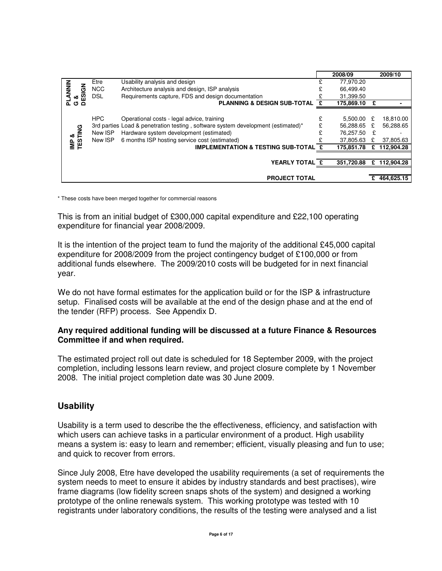|                                |            |                                                                                  |   | 2008/09    |               | 2009/10      |
|--------------------------------|------------|----------------------------------------------------------------------------------|---|------------|---------------|--------------|
|                                | Etre       | Usability analysis and design                                                    |   | 77,970.20  |               |              |
| <b>ANNIN</b>                   | <b>NCC</b> | Architecture analysis and design, ISP analysis                                   |   | 66,499.40  |               |              |
| <b>PLANNI</b><br>G &<br>DESIGN | DSL        | Requirements capture, FDS and design documentation                               |   | 31,399.50  |               |              |
|                                |            | <b>PLANNING &amp; DESIGN SUB-TOTAL</b>                                           |   | 175,869.10 |               |              |
|                                |            |                                                                                  |   |            |               |              |
|                                | <b>HPC</b> | Operational costs - legal advice, training                                       | £ | 5.500.00   | £             | 18,810.00    |
|                                |            | 3rd parties Load & penetration testing, software system development (estimated)* |   | 56,288.65  | £             | 56,288.65    |
|                                | New ISP    | Hardware system development (estimated)                                          |   | 76,257.50  | $-\mathbf{f}$ |              |
| <b>IMP &amp;<br/>TESTING</b>   | New ISP    | 6 months ISP hosting service cost (estimated)                                    |   | 37,805.63  |               | 37,805.63    |
|                                |            | <b>IMPLEMENTATION &amp; TESTING SUB-TOTAL</b>                                    |   | 175,851.78 | £             | 112.904.28   |
|                                |            |                                                                                  |   |            |               |              |
|                                |            | YEARLY TOTAL £                                                                   |   | 351,720.88 |               | £ 112,904.28 |
|                                |            |                                                                                  |   |            |               |              |
|                                |            | <b>PROJECT TOTAL</b>                                                             |   |            | £             | 464,625.15   |

\* These costs have been merged together for commercial reasons

This is from an initial budget of £300,000 capital expenditure and £22,100 operating expenditure for financial year 2008/2009.

It is the intention of the project team to fund the majority of the additional £45,000 capital expenditure for 2008/2009 from the project contingency budget of £100,000 or from additional funds elsewhere. The 2009/2010 costs will be budgeted for in next financial year.

We do not have formal estimates for the application build or for the ISP & infrastructure setup. Finalised costs will be available at the end of the design phase and at the end of the tender (RFP) process. See Appendix D.

#### **Any required additional funding will be discussed at a future Finance & Resources Committee if and when required.**

The estimated project roll out date is scheduled for 18 September 2009, with the project completion, including lessons learn review, and project closure complete by 1 November 2008. The initial project completion date was 30 June 2009.

## **Usability**

Usability is a term used to describe the the effectiveness, efficiency, and satisfaction with which users can achieve tasks in a particular environment of a product. High usability means a system is: easy to learn and remember; efficient, visually pleasing and fun to use; and quick to recover from errors.

Since July 2008, Etre have developed the usability requirements (a set of requirements the system needs to meet to ensure it abides by industry standards and best practises), wire frame diagrams (low fidelity screen snaps shots of the system) and designed a working prototype of the online renewals system. This working prototype was tested with 10 registrants under laboratory conditions, the results of the testing were analysed and a list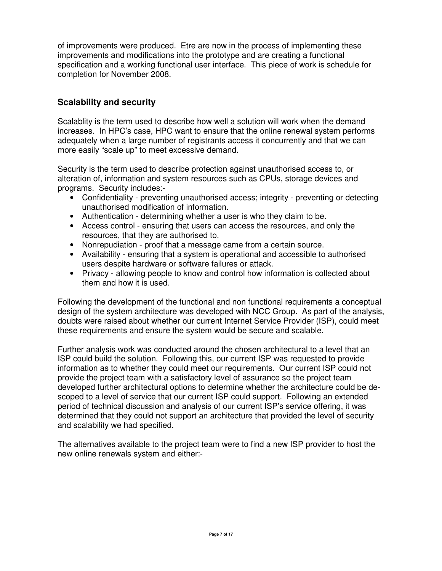of improvements were produced. Etre are now in the process of implementing these improvements and modifications into the prototype and are creating a functional specification and a working functional user interface. This piece of work is schedule for completion for November 2008.

## **Scalability and security**

Scalablity is the term used to describe how well a solution will work when the demand increases. In HPC's case, HPC want to ensure that the online renewal system performs adequately when a large number of registrants access it concurrently and that we can more easily "scale up" to meet excessive demand.

Security is the term used to describe protection against unauthorised access to, or alteration of, information and system resources such as CPUs, storage devices and programs. Security includes:-

- Confidentiality preventing unauthorised access; integrity preventing or detecting unauthorised modification of information.
- Authentication determining whether a user is who they claim to be.
- Access control ensuring that users can access the resources, and only the resources, that they are authorised to.
- Nonrepudiation proof that a message came from a certain source.
- Availability ensuring that a system is operational and accessible to authorised users despite hardware or software failures or attack.
- Privacy allowing people to know and control how information is collected about them and how it is used.

Following the development of the functional and non functional requirements a conceptual design of the system architecture was developed with NCC Group. As part of the analysis, doubts were raised about whether our current Internet Service Provider (ISP), could meet these requirements and ensure the system would be secure and scalable.

Further analysis work was conducted around the chosen architectural to a level that an ISP could build the solution. Following this, our current ISP was requested to provide information as to whether they could meet our requirements. Our current ISP could not provide the project team with a satisfactory level of assurance so the project team developed further architectural options to determine whether the architecture could be descoped to a level of service that our current ISP could support. Following an extended period of technical discussion and analysis of our current ISP's service offering, it was determined that they could not support an architecture that provided the level of security and scalability we had specified.

The alternatives available to the project team were to find a new ISP provider to host the new online renewals system and either:-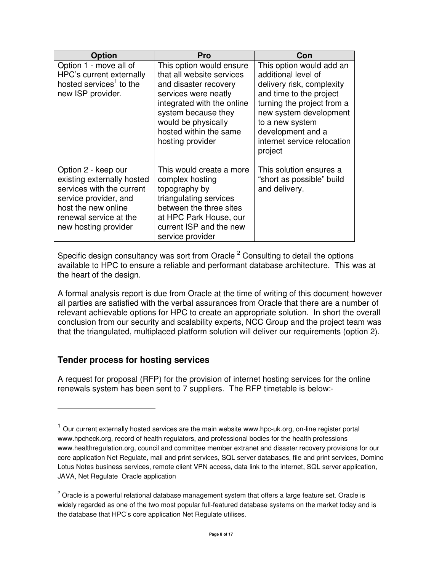| <b>Option</b>                                                                                                                                                                    | Pro                                                                                                                                                                                                                              | Con                                                                                                                                                                                                                                               |
|----------------------------------------------------------------------------------------------------------------------------------------------------------------------------------|----------------------------------------------------------------------------------------------------------------------------------------------------------------------------------------------------------------------------------|---------------------------------------------------------------------------------------------------------------------------------------------------------------------------------------------------------------------------------------------------|
| Option 1 - move all of<br>HPC's current externally<br>hosted services <sup>1</sup> to the<br>new ISP provider.                                                                   | This option would ensure<br>that all website services<br>and disaster recovery<br>services were neatly<br>integrated with the online<br>system because they<br>would be physically<br>hosted within the same<br>hosting provider | This option would add an<br>additional level of<br>delivery risk, complexity<br>and time to the project<br>turning the project from a<br>new system development<br>to a new system<br>development and a<br>internet service relocation<br>project |
| Option 2 - keep our<br>existing externally hosted<br>services with the current<br>service provider, and<br>host the new online<br>renewal service at the<br>new hosting provider | This would create a more<br>complex hosting<br>topography by<br>triangulating services<br>between the three sites<br>at HPC Park House, our<br>current ISP and the new<br>service provider                                       | This solution ensures a<br>"short as possible" build<br>and delivery.                                                                                                                                                                             |

Specific design consultancy was sort from Oracle  $2$  Consulting to detail the options available to HPC to ensure a reliable and performant database architecture. This was at the heart of the design.

A formal analysis report is due from Oracle at the time of writing of this document however all parties are satisfied with the verbal assurances from Oracle that there are a number of relevant achievable options for HPC to create an appropriate solution. In short the overall conclusion from our security and scalability experts, NCC Group and the project team was that the triangulated, multiplaced platform solution will deliver our requirements (option 2).

## **Tender process for hosting services**

L

A request for proposal (RFP) for the provision of internet hosting services for the online renewals system has been sent to 7 suppliers. The RFP timetable is below:-

 $1$  Our current externally hosted services are the main website www.hpc-uk.org, on-line register portal www.hpcheck.org, record of health regulators, and professional bodies for the health professions www.healthregulation.org, council and committee member extranet and disaster recovery provisions for our core application Net Regulate, mail and print services, SQL server databases, file and print services, Domino Lotus Notes business services, remote client VPN access, data link to the internet, SQL server application, JAVA, Net Regulate Oracle application

 $^{2}$  Oracle is a powerful relational database management system that offers a large feature set. Oracle is widely regarded as one of the two most popular full-featured database systems on the market today and is the database that HPC's core application Net Regulate utilises.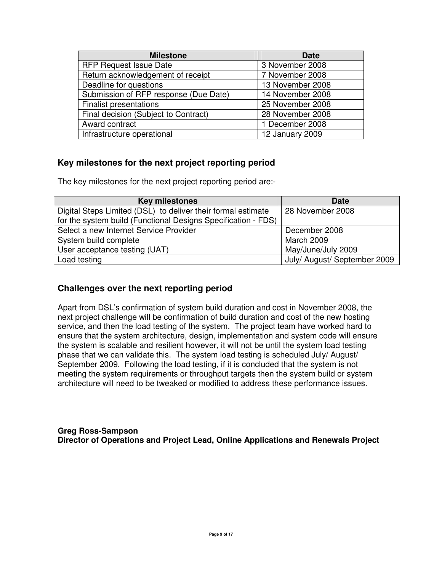| <b>Milestone</b>                      | <b>Date</b>      |
|---------------------------------------|------------------|
| <b>RFP Request Issue Date</b>         | 3 November 2008  |
| Return acknowledgement of receipt     | 7 November 2008  |
| Deadline for questions                | 13 November 2008 |
| Submission of RFP response (Due Date) | 14 November 2008 |
| <b>Finalist presentations</b>         | 25 November 2008 |
| Final decision (Subject to Contract)  | 28 November 2008 |
| Award contract                        | 1 December 2008  |
| Infrastructure operational            | 12 January 2009  |

## **Key milestones for the next project reporting period**

The key milestones for the next project reporting period are:-

| <b>Key milestones</b>                                         | <b>Date</b>                  |
|---------------------------------------------------------------|------------------------------|
| Digital Steps Limited (DSL) to deliver their formal estimate  | 28 November 2008             |
| for the system build (Functional Designs Specification - FDS) |                              |
| Select a new Internet Service Provider                        | December 2008                |
| System build complete                                         | March 2009                   |
| User acceptance testing (UAT)                                 | May/June/July 2009           |
| Load testing                                                  | July/ August/ September 2009 |

## **Challenges over the next reporting period**

Apart from DSL's confirmation of system build duration and cost in November 2008, the next project challenge will be confirmation of build duration and cost of the new hosting service, and then the load testing of the system. The project team have worked hard to ensure that the system architecture, design, implementation and system code will ensure the system is scalable and resilient however, it will not be until the system load testing phase that we can validate this. The system load testing is scheduled July/ August/ September 2009. Following the load testing, if it is concluded that the system is not meeting the system requirements or throughput targets then the system build or system architecture will need to be tweaked or modified to address these performance issues.

**Greg Ross-Sampson Director of Operations and Project Lead, Online Applications and Renewals Project**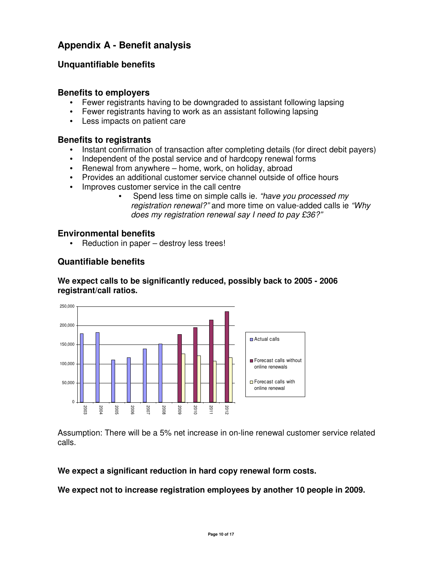# **Appendix A - Benefit analysis**

## **Unquantifiable benefits**

### **Benefits to employers**

- Fewer registrants having to be downgraded to assistant following lapsing
- Fewer registrants having to work as an assistant following lapsing
- Less impacts on patient care

### **Benefits to registrants**

- Instant confirmation of transaction after completing details (for direct debit payers)
- Independent of the postal service and of hardcopy renewal forms
- Renewal from anywhere home, work, on holiday, abroad
- Provides an additional customer service channel outside of office hours
- Improves customer service in the call centre
	- Spend less time on simple calls ie. "have you processed my registration renewal?" and more time on value-added calls ie "Whv does my registration renewal say I need to pay £36?"

#### **Environmental benefits**

Reduction in paper – destroy less trees!

#### **Quantifiable benefits**

## **We expect calls to be significantly reduced, possibly back to 2005 - 2006 registrant/call ratios.**



Assumption: There will be a 5% net increase in on-line renewal customer service related calls.

#### **We expect a significant reduction in hard copy renewal form costs.**

**We expect not to increase registration employees by another 10 people in 2009.**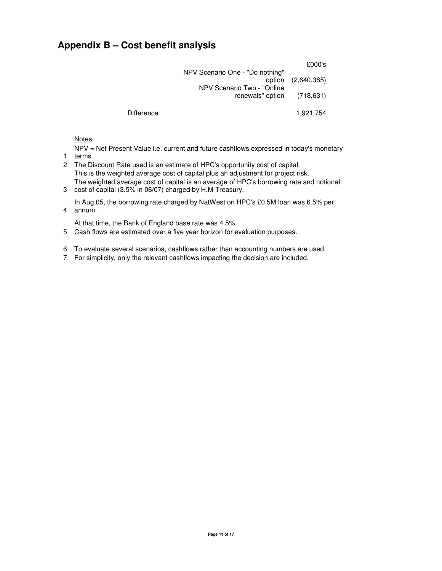## **Appendix B – Cost benefit analysis**

| £000's             |                                                           |            |
|--------------------|-----------------------------------------------------------|------------|
| option (2,640,385) | NPV Scenario One - "Do nothing"                           |            |
|                    | NPV Scenario Two - "Online"<br>renewals" option (718,631) |            |
| 1,921,754          |                                                           | Difference |

**Notes** 

NPV = Net Present Value i.e. current and future cashflows expressed in today's monetary

- 1 terms.
- 2 The Discount Rate used is an estimate of HPC's opportunity cost of capital. This is the weighted average cost of capital plus an adjustment for project risk. The weighted average cost of capital is an average of HPC's borrowing rate and notional
- 3 cost of capital (3.5% in 06/07) charged by H.M Treasury.

4 annum. In Aug 05, the borrowing rate charged by NatWest on HPC's £0.5M loan was 6.5% per

At that time, the Bank of England base rate was 4.5%.

- 5 Cash flows are estimated over a five year horizon for evaluation purposes.
- 6 To evaluate several scenarios, cashflows rather than accounting numbers are used.
- 7 For simplicity, only the relevant cashflows impacting the decision are included.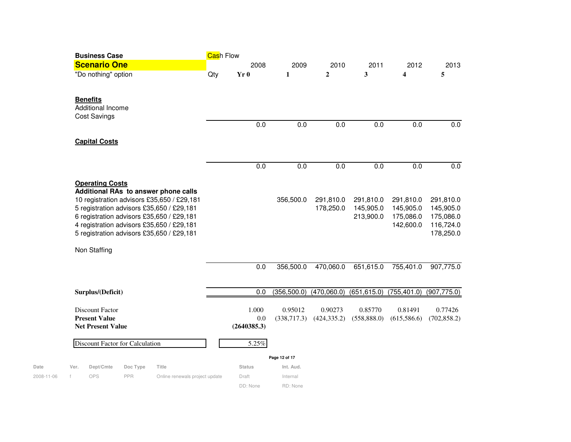| <b>Business Case</b> |                                 |          |                                            |     | Cash Flow     |               |              |              |              |              |  |  |
|----------------------|---------------------------------|----------|--------------------------------------------|-----|---------------|---------------|--------------|--------------|--------------|--------------|--|--|
| <b>Scenario One</b>  |                                 |          | 2008                                       |     | 2009          | 2010          | 2011         | 2012         | 2013         |              |  |  |
|                      | "Do nothing" option             |          |                                            | Qty | Yr 0          | $\mathbf{1}$  | $\mathbf{2}$ | 3            | 4            | 5            |  |  |
| <b>Benefits</b>      |                                 |          |                                            |     |               |               |              |              |              |              |  |  |
|                      | Additional Income               |          |                                            |     |               |               |              |              |              |              |  |  |
|                      | <b>Cost Savings</b>             |          |                                            |     |               |               |              |              |              |              |  |  |
|                      |                                 |          |                                            |     | 0.0           | 0.0           | 0.0          | 0.0          | 0.0          | 0.0          |  |  |
|                      | <b>Capital Costs</b>            |          |                                            |     |               |               |              |              |              |              |  |  |
|                      |                                 |          |                                            |     |               |               |              |              |              |              |  |  |
|                      |                                 |          |                                            |     | 0.0           | 0.0           | 0.0          | 0.0          | 0.0          | 0.0          |  |  |
|                      | <b>Operating Costs</b>          |          |                                            |     |               |               |              |              |              |              |  |  |
|                      |                                 |          | Additional RAs to answer phone calls       |     |               |               |              |              |              |              |  |  |
|                      |                                 |          | 10 registration advisors £35,650 / £29,181 |     |               | 356,500.0     | 291,810.0    | 291,810.0    | 291,810.0    | 291,810.0    |  |  |
|                      |                                 |          | 5 registration advisors £35,650 / £29,181  |     |               |               | 178,250.0    | 145,905.0    | 145,905.0    | 145,905.0    |  |  |
|                      |                                 |          | 6 registration advisors £35,650 / £29,181  |     |               |               |              | 213,900.0    | 175,086.0    | 175,086.0    |  |  |
|                      |                                 |          | 4 registration advisors £35,650 / £29,181  |     |               |               |              |              | 142,600.0    | 116,724.0    |  |  |
|                      |                                 |          | 5 registration advisors £35,650 / £29,181  |     |               |               |              |              |              | 178,250.0    |  |  |
|                      | Non Staffing                    |          |                                            |     |               |               |              |              |              |              |  |  |
|                      |                                 |          |                                            |     | 0.0           | 356,500.0     | 470,060.0    | 651,615.0    | 755,401.0    | 907,775.0    |  |  |
|                      | Surplus/(Deficit)               |          |                                            |     | 0.0           | (356, 500.0)  | (470,060.0)  | (651, 615.0) | (755, 401.0) | (907, 775.0) |  |  |
|                      | <b>Discount Factor</b>          |          |                                            |     | 1.000         | 0.95012       | 0.90273      | 0.85770      | 0.81491      | 0.77426      |  |  |
|                      | <b>Present Value</b>            |          |                                            |     | 0.0           | (338,717.3)   | (424, 335.2) | (558, 888.0) | (615,586.6)  | (702, 858.2) |  |  |
|                      | <b>Net Present Value</b>        |          |                                            |     | (2640385.3)   |               |              |              |              |              |  |  |
|                      | Discount Factor for Calculation |          |                                            |     | 5.25%         |               |              |              |              |              |  |  |
|                      |                                 |          |                                            |     |               | Page 12 of 17 |              |              |              |              |  |  |
| Ver.                 | Dept/Cmte                       | Doc Type | Title                                      |     | <b>Status</b> | Int. Aud.     |              |              |              |              |  |  |
| f                    | OPS                             | PPR      | Online renewals project update             |     | Draft         | Internal      |              |              |              |              |  |  |
|                      |                                 |          |                                            |     | DD: None      | RD: None      |              |              |              |              |  |  |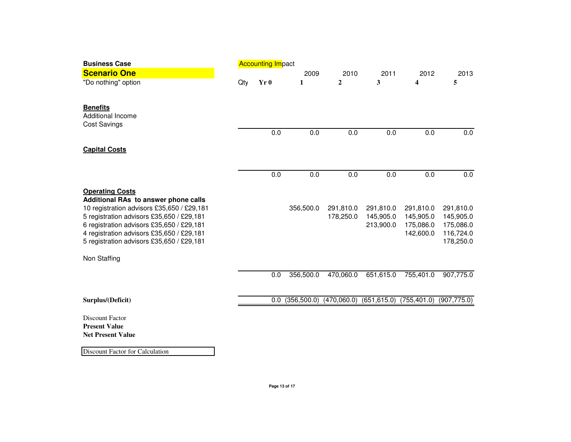| <b>Business Case</b>                                                                                                                                                                                                                                                                             | <b>Accounting Impact</b> |      |              |                        |                                     |                                                  |                                                               |  |  |
|--------------------------------------------------------------------------------------------------------------------------------------------------------------------------------------------------------------------------------------------------------------------------------------------------|--------------------------|------|--------------|------------------------|-------------------------------------|--------------------------------------------------|---------------------------------------------------------------|--|--|
| <b>Scenario One</b>                                                                                                                                                                                                                                                                              |                          |      | 2009         | 2010                   | 2011                                | 2012                                             | 2013                                                          |  |  |
| "Do nothing" option                                                                                                                                                                                                                                                                              | Qty                      | Yr 0 | 1            | $\overline{2}$         | 3                                   | 4                                                | 5                                                             |  |  |
| <b>Benefits</b><br><b>Additional Income</b><br><b>Cost Savings</b>                                                                                                                                                                                                                               |                          |      |              |                        |                                     |                                                  |                                                               |  |  |
|                                                                                                                                                                                                                                                                                                  |                          | 0.0  | 0.0          | 0.0                    | 0.0                                 | 0.0                                              | 0.0                                                           |  |  |
| <b>Capital Costs</b>                                                                                                                                                                                                                                                                             |                          |      |              |                        |                                     |                                                  |                                                               |  |  |
|                                                                                                                                                                                                                                                                                                  |                          | 0.0  | 0.0          | 0.0                    | 0.0                                 | 0.0                                              | 0.0                                                           |  |  |
| <b>Operating Costs</b><br>Additional RAs to answer phone calls<br>10 registration advisors £35,650 / £29,181<br>5 registration advisors £35,650 / £29,181<br>6 registration advisors £35,650 / £29,181<br>4 registration advisors £35,650 / £29,181<br>5 registration advisors £35,650 / £29,181 |                          |      | 356,500.0    | 291,810.0<br>178,250.0 | 291,810.0<br>145,905.0<br>213,900.0 | 291,810.0<br>145,905.0<br>175,086.0<br>142,600.0 | 291,810.0<br>145,905.0<br>175,086.0<br>116,724.0<br>178,250.0 |  |  |
| Non Staffing                                                                                                                                                                                                                                                                                     |                          |      |              |                        |                                     |                                                  |                                                               |  |  |
|                                                                                                                                                                                                                                                                                                  |                          | 0.0  | 356,500.0    | 470,060.0              | 651,615.0                           | 755,401.0                                        | 907,775.0                                                     |  |  |
| Surplus/(Deficit)                                                                                                                                                                                                                                                                                |                          | 0.0  | (356, 500.0) | (470,060.0)            | (651, 615.0)                        | (755, 401.0)                                     | (907, 775.0)                                                  |  |  |
| <b>Discount Factor</b><br><b>Present Value</b><br><b>Net Present Value</b>                                                                                                                                                                                                                       |                          |      |              |                        |                                     |                                                  |                                                               |  |  |
| Discount Factor for Calculation                                                                                                                                                                                                                                                                  |                          |      |              |                        |                                     |                                                  |                                                               |  |  |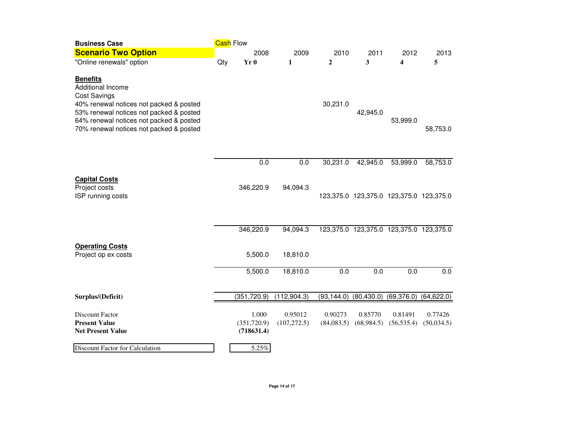| <b>Business Case</b>                                                                                                                                                                                                                    |     | Cash Flow                           |                         |                       |                       |                                         |                       |
|-----------------------------------------------------------------------------------------------------------------------------------------------------------------------------------------------------------------------------------------|-----|-------------------------------------|-------------------------|-----------------------|-----------------------|-----------------------------------------|-----------------------|
| <b>Scenario Two Option</b>                                                                                                                                                                                                              |     | 2008                                | 2009                    | 2010                  | 2011                  | 2012                                    | 2013                  |
| "Online renewals" option                                                                                                                                                                                                                | Qty | Yr 0                                | 1                       | $\overline{2}$        | 3                     | 4                                       | 5                     |
| <b>Benefits</b><br>Additional Income<br><b>Cost Savings</b><br>40% renewal notices not packed & posted<br>53% renewal notices not packed & posted<br>64% renewal notices not packed & posted<br>70% renewal notices not packed & posted |     |                                     |                         | 30,231.0              | 42,945.0              | 53,999.0                                | 58,753.0              |
|                                                                                                                                                                                                                                         |     | 0.0                                 | 0.0                     | 30,231.0              | 42,945.0              | 53,999.0                                | 58,753.0              |
| <b>Capital Costs</b><br>Project costs<br>ISP running costs                                                                                                                                                                              |     | 346,220.9                           | 94,094.3                |                       |                       | 123,375.0 123,375.0 123,375.0 123,375.0 |                       |
|                                                                                                                                                                                                                                         |     | 346,220.9                           | 94,094.3                |                       |                       | 123,375.0 123,375.0 123,375.0 123,375.0 |                       |
| <b>Operating Costs</b><br>Project op ex costs                                                                                                                                                                                           |     | 5,500.0                             | 18,810.0                |                       |                       |                                         |                       |
|                                                                                                                                                                                                                                         |     | 5,500.0                             | 18,810.0                | 0.0                   | 0.0                   | 0.0                                     | 0.0                   |
| Surplus/(Deficit)                                                                                                                                                                                                                       |     | (351, 720.9)                        | (112, 904.3)            | (93, 144.0)           | (80, 430.0)           | (69, 376.0)                             | (64, 622.0)           |
| <b>Discount Factor</b><br><b>Present Value</b><br><b>Net Present Value</b>                                                                                                                                                              |     | 1.000<br>(351, 720.9)<br>(718631.4) | 0.95012<br>(107, 272.5) | 0.90273<br>(84,083.5) | 0.85770<br>(68,984.5) | 0.81491<br>(56, 535.4)                  | 0.77426<br>(50,034.5) |
| <b>Discount Factor for Calculation</b>                                                                                                                                                                                                  |     | 5.25%                               |                         |                       |                       |                                         |                       |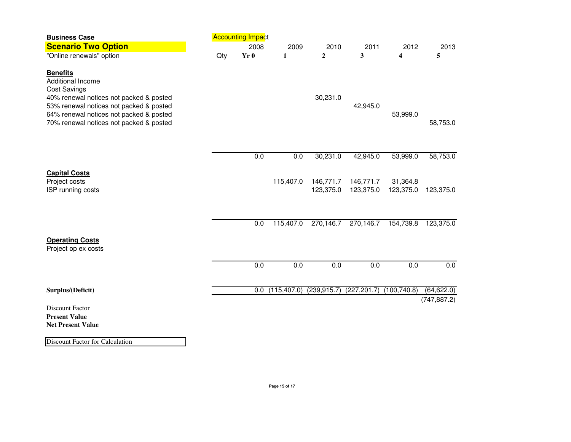| <b>Business Case</b>                                                                                                                              | <b>Accounting Impact</b> |      |              |                        |                        |                         |              |
|---------------------------------------------------------------------------------------------------------------------------------------------------|--------------------------|------|--------------|------------------------|------------------------|-------------------------|--------------|
| <b>Scenario Two Option</b>                                                                                                                        |                          | 2008 | 2009         | 2010                   | 2011                   | 2012                    | 2013         |
| "Online renewals" option                                                                                                                          | Qty                      | Yr0  | 1            | $\mathbf{2}$           | 3                      | $\overline{\mathbf{4}}$ | 5            |
| <b>Benefits</b><br>Additional Income<br><b>Cost Savings</b><br>40% renewal notices not packed & posted<br>53% renewal notices not packed & posted |                          |      |              | 30,231.0               | 42,945.0               |                         |              |
| 64% renewal notices not packed & posted<br>70% renewal notices not packed & posted                                                                |                          |      |              |                        |                        | 53,999.0                | 58,753.0     |
|                                                                                                                                                   |                          | 0.0  | 0.0          | 30,231.0               | 42,945.0               | 53,999.0                | 58,753.0     |
| <b>Capital Costs</b><br>Project costs<br>ISP running costs                                                                                        |                          |      | 115,407.0    | 146,771.7<br>123,375.0 | 146,771.7<br>123,375.0 | 31,364.8<br>123,375.0   | 123,375.0    |
|                                                                                                                                                   |                          | 0.0  | 115,407.0    | 270,146.7              | 270,146.7              | 154,739.8               | 123,375.0    |
| <b>Operating Costs</b><br>Project op ex costs                                                                                                     |                          |      |              |                        |                        |                         |              |
|                                                                                                                                                   |                          | 0.0  | 0.0          | 0.0                    | 0.0                    | 0.0                     | 0.0          |
| Surplus/(Deficit)                                                                                                                                 |                          | 0.0  | (115, 407.0) | (239, 915.7)           | (227, 201.7)           | (100, 740.8)            | (64, 622.0)  |
| <b>Discount Factor</b><br><b>Present Value</b><br><b>Net Present Value</b>                                                                        |                          |      |              |                        |                        |                         | (747, 887.2) |

Discount Factor for Calculation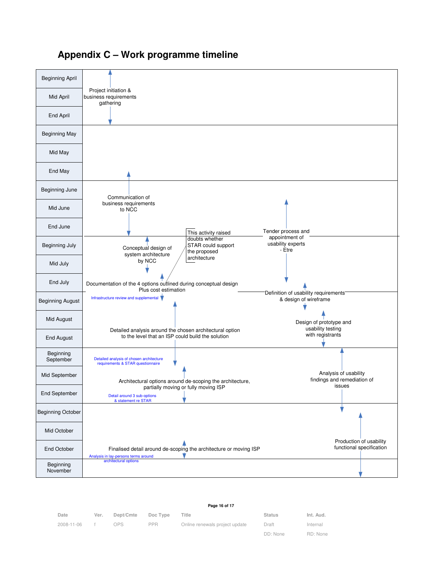

## **Appendix C – Work programme timeline**

| Date       | Ver. | Dept/Cmte | Doc Type | Title                          | <b>Status</b> | Int. Aud. |
|------------|------|-----------|----------|--------------------------------|---------------|-----------|
| 2008-11-06 |      | OPS.      | PPR.     | Online renewals project update | Draft         | Internal  |
|            |      |           |          |                                | DD: None      | RD: None  |

**Page 16 of 17**